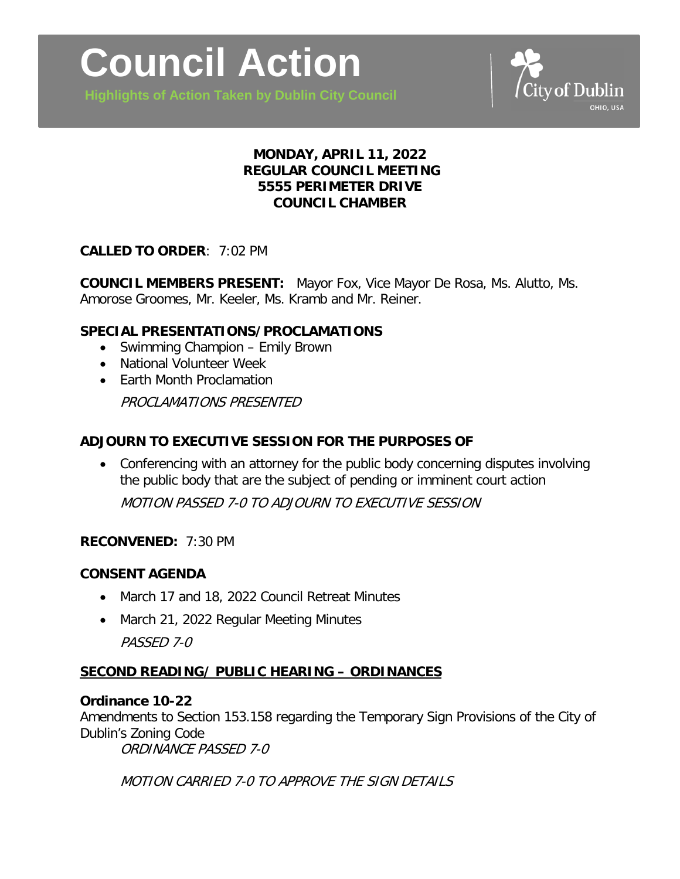

**Highlights of Action Taken by Dublin City Council**



# **MONDAY, APRIL 11, 2022 REGULAR COUNCIL MEETING 5555 PERIMETER DRIVE COUNCIL CHAMBER**

### **CALLED TO ORDER**: 7:02 PM

**COUNCIL MEMBERS PRESENT:** Mayor Fox, Vice Mayor De Rosa, Ms. Alutto, Ms. Amorose Groomes, Mr. Keeler, Ms. Kramb and Mr. Reiner.

### **SPECIAL PRESENTATIONS/PROCLAMATIONS**

- Swimming Champion Emily Brown
- National Volunteer Week
- Earth Month Proclamation

PROCLAMATIONS PRESENTED

### **ADJOURN TO EXECUTIVE SESSION FOR THE PURPOSES OF**

• Conferencing with an attorney for the public body concerning disputes involving the public body that are the subject of pending or imminent court action MOTION PASSED 7-0 TO ADJOURN TO EXECUTIVE SESSION

### **RECONVENED:** 7:30 PM

### **CONSENT AGENDA**

- March 17 and 18, 2022 Council Retreat Minutes
- March 21, 2022 Regular Meeting Minutes PASSED 7-0

### **SECOND READING/ PUBLIC HEARING – ORDINANCES**

#### **Ordinance 10-22**

Amendments to Section 153.158 regarding the Temporary Sign Provisions of the City of Dublin's Zoning Code

ORDINANCE PASSED 7-0

MOTION CARRIED 7-0 TO APPROVE THE SIGN DETAILS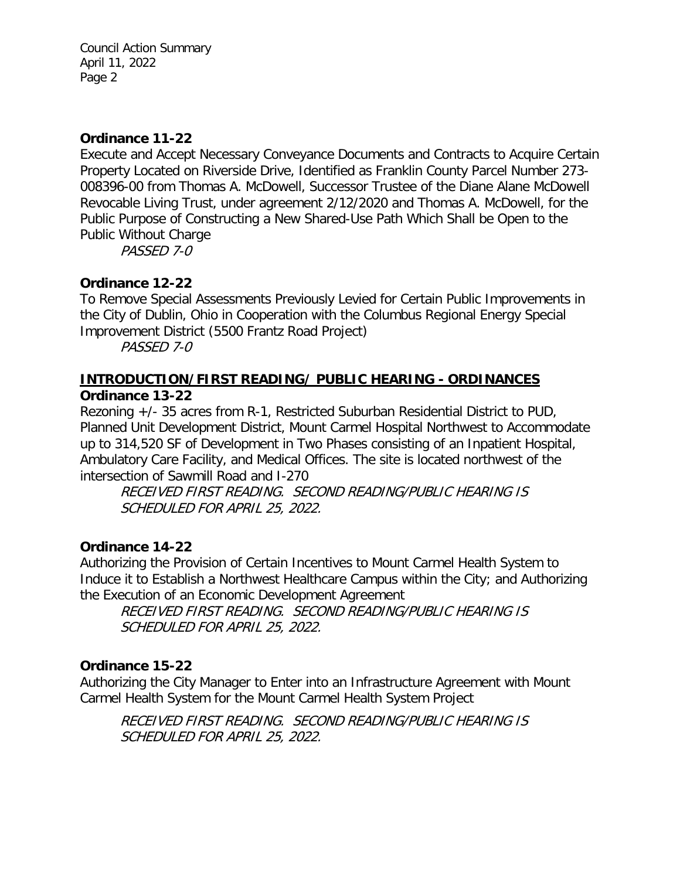Council Action Summary April 11, 2022 Page 2

### **Ordinance 11-22**

Execute and Accept Necessary Conveyance Documents and Contracts to Acquire Certain Property Located on Riverside Drive, Identified as Franklin County Parcel Number 273- 008396-00 from Thomas A. McDowell, Successor Trustee of the Diane Alane McDowell Revocable Living Trust, under agreement 2/12/2020 and Thomas A. McDowell, for the Public Purpose of Constructing a New Shared-Use Path Which Shall be Open to the Public Without Charge

PASSED 7-0

# **Ordinance 12-22**

To Remove Special Assessments Previously Levied for Certain Public Improvements in the City of Dublin, Ohio in Cooperation with the Columbus Regional Energy Special Improvement District (5500 Frantz Road Project)

PASSED 7-0

### **INTRODUCTION/FIRST READING/ PUBLIC HEARING - ORDINANCES Ordinance 13-22**

Rezoning +/- 35 acres from R-1, Restricted Suburban Residential District to PUD, Planned Unit Development District, Mount Carmel Hospital Northwest to Accommodate up to 314,520 SF of Development in Two Phases consisting of an Inpatient Hospital, Ambulatory Care Facility, and Medical Offices. The site is located northwest of the intersection of Sawmill Road and I-270

RECEIVED FIRST READING. SECOND READING/PUBLIC HEARING IS SCHEDULED FOR APRIL 25, 2022.

# **Ordinance 14-22**

Authorizing the Provision of Certain Incentives to Mount Carmel Health System to Induce it to Establish a Northwest Healthcare Campus within the City; and Authorizing the Execution of an Economic Development Agreement

RECEIVED FIRST READING. SECOND READING/PUBLIC HEARING IS SCHEDULED FOR APRIL 25, 2022.

# **Ordinance 15-22**

Authorizing the City Manager to Enter into an Infrastructure Agreement with Mount Carmel Health System for the Mount Carmel Health System Project

RECEIVED FIRST READING. SECOND READING/PUBLIC HEARING IS SCHEDULED FOR APRIL 25, 2022.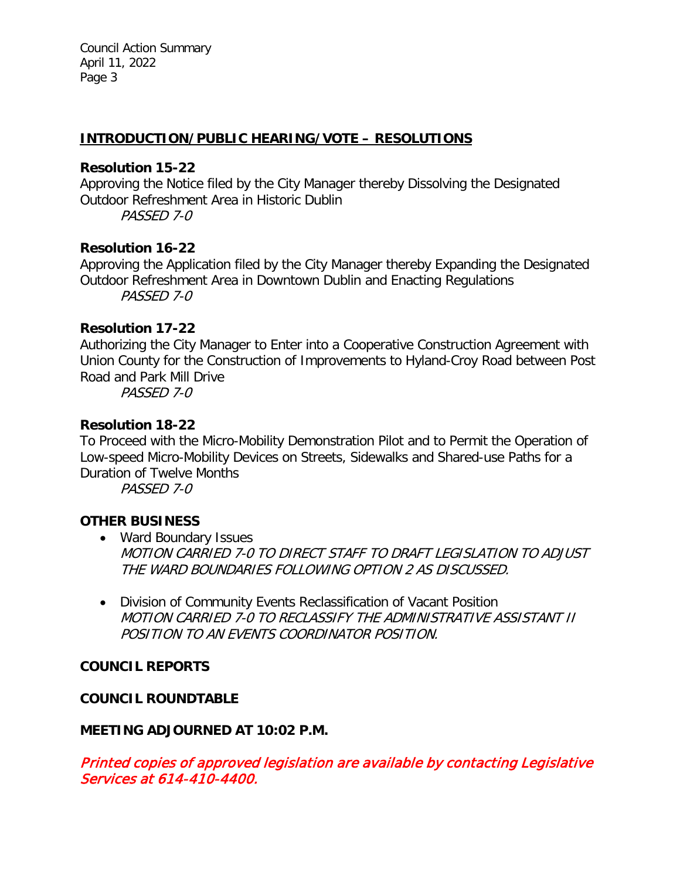Council Action Summary April 11, 2022 Page 3

#### **INTRODUCTION/PUBLIC HEARING/VOTE – RESOLUTIONS**

#### **Resolution 15-22**

Approving the Notice filed by the City Manager thereby Dissolving the Designated Outdoor Refreshment Area in Historic Dublin

PASSED 7-0

#### **Resolution 16-22**

Approving the Application filed by the City Manager thereby Expanding the Designated Outdoor Refreshment Area in Downtown Dublin and Enacting Regulations PASSED 7-0

### **Resolution 17-22**

Authorizing the City Manager to Enter into a Cooperative Construction Agreement with Union County for the Construction of Improvements to Hyland-Croy Road between Post Road and Park Mill Drive

PASSED 7-0

#### **Resolution 18-22**

To Proceed with the Micro-Mobility Demonstration Pilot and to Permit the Operation of Low-speed Micro-Mobility Devices on Streets, Sidewalks and Shared-use Paths for a Duration of Twelve Months

PASSED 7-0

### **OTHER BUSINESS**

- Ward Boundary Issues MOTION CARRIED 7-0 TO DIRECT STAFF TO DRAFT LEGISLATION TO ADJUST THE WARD BOUNDARIES FOLLOWING OPTION 2 AS DISCUSSED.
- Division of Community Events Reclassification of Vacant Position MOTION CARRIED 7-0 TO RECLASSIFY THE ADMINISTRATIVE ASSISTANT II POSITION TO AN EVENTS COORDINATOR POSITION.

### **COUNCIL REPORTS**

### **COUNCIL ROUNDTABLE**

### **MEETING ADJOURNED AT 10:02 P.M.**

Printed copies of approved legislation are available by contacting Legislative Services at 614-410-4400.